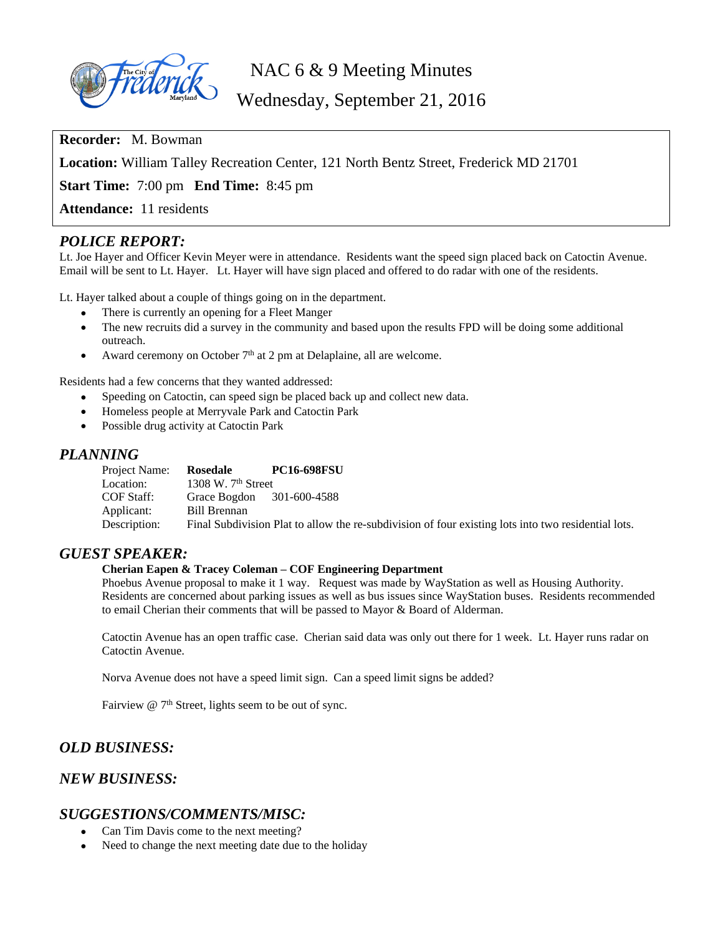

NAC 6 & 9 Meeting Minutes

Wednesday, September 21, 2016

**Recorder:** M. Bowman

**Location:** William Talley Recreation Center, 121 North Bentz Street, Frederick MD 21701

**Start Time:** 7:00 pm **End Time:** 8:45 pm

**Attendance:** 11 residents

# *POLICE REPORT:*

Lt. Joe Hayer and Officer Kevin Meyer were in attendance. Residents want the speed sign placed back on Catoctin Avenue. Email will be sent to Lt. Hayer. Lt. Hayer will have sign placed and offered to do radar with one of the residents.

Lt. Hayer talked about a couple of things going on in the department.

- There is currently an opening for a Fleet Manger
- The new recruits did a survey in the community and based upon the results FPD will be doing some additional outreach.
- Award ceremony on October  $7<sup>th</sup>$  at 2 pm at Delaplaine, all are welcome.

Residents had a few concerns that they wanted addressed:

- Speeding on Catoctin, can speed sign be placed back up and collect new data.
- Homeless people at Merryvale Park and Catoctin Park
- Possible drug activity at Catoctin Park

#### *PLANNING*

| Project Name: | Rosedale                  | <b>PC16-698FSU</b>                                                                                  |
|---------------|---------------------------|-----------------------------------------------------------------------------------------------------|
| Location:     | 1308 W. $7th$ Street      |                                                                                                     |
| COF Staff:    | Grace Bogdon 301-600-4588 |                                                                                                     |
| Applicant:    | Bill Brennan              |                                                                                                     |
| Description:  |                           | Final Subdivision Plat to allow the re-subdivision of four existing lots into two residential lots. |

### *GUEST SPEAKER:*

#### **Cherian Eapen & Tracey Coleman – COF Engineering Department**

Phoebus Avenue proposal to make it 1 way. Request was made by WayStation as well as Housing Authority. Residents are concerned about parking issues as well as bus issues since WayStation buses. Residents recommended to email Cherian their comments that will be passed to Mayor & Board of Alderman.

Catoctin Avenue has an open traffic case. Cherian said data was only out there for 1 week. Lt. Hayer runs radar on Catoctin Avenue.

Norva Avenue does not have a speed limit sign. Can a speed limit signs be added?

Fairview @ 7<sup>th</sup> Street, lights seem to be out of sync.

# *OLD BUSINESS:*

# *NEW BUSINESS:*

### *SUGGESTIONS/COMMENTS/MISC:*

- Can Tim Davis come to the next meeting?
- Need to change the next meeting date due to the holiday